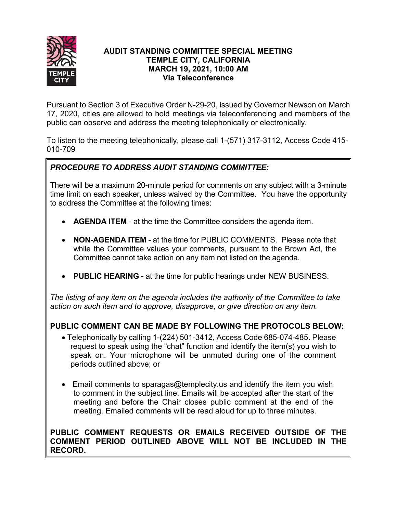

## **AUDIT STANDING COMMITTEE SPECIAL MEETING TEMPLE CITY, CALIFORNIA MARCH 19, 2021, 10:00 AM Via Teleconference**

Pursuant to Section 3 of Executive Order N-29-20, issued by Governor Newson on March 17, 2020, cities are allowed to hold meetings via teleconferencing and members of the public can observe and address the meeting telephonically or electronically.

To listen to the meeting telephonically, please call 1-(571) 317-3112, Access Code 415- 010-709

# *PROCEDURE TO ADDRESS AUDIT STANDING COMMITTEE:*

There will be a maximum 20-minute period for comments on any subject with a 3-minute time limit on each speaker, unless waived by the Committee. You have the opportunity to address the Committee at the following times:

- **AGENDA ITEM** at the time the Committee considers the agenda item.
- **NON-AGENDA ITEM** at the time for PUBLIC COMMENTS. Please note that while the Committee values your comments, pursuant to the Brown Act, the Committee cannot take action on any item not listed on the agenda.
- **PUBLIC HEARING** at the time for public hearings under NEW BUSINESS.

*The listing of any item on the agenda includes the authority of the Committee to take action on such item and to approve, disapprove, or give direction on any item.*

# **PUBLIC COMMENT CAN BE MADE BY FOLLOWING THE PROTOCOLS BELOW:**

- Telephonically by calling 1-(224) 501-3412, Access Code 685-074-485. Please request to speak using the "chat" function and identify the item(s) you wish to speak on. Your microphone will be unmuted during one of the comment periods outlined above; or
- Email comments to sparagas@templecity.us and identify the item you wish to comment in the subject line. Emails will be accepted after the start of the meeting and before the Chair closes public comment at the end of the meeting. Emailed comments will be read aloud for up to three minutes.

## **PUBLIC COMMENT REQUESTS OR EMAILS RECEIVED OUTSIDE OF THE COMMENT PERIOD OUTLINED ABOVE WILL NOT BE INCLUDED IN THE RECORD.**